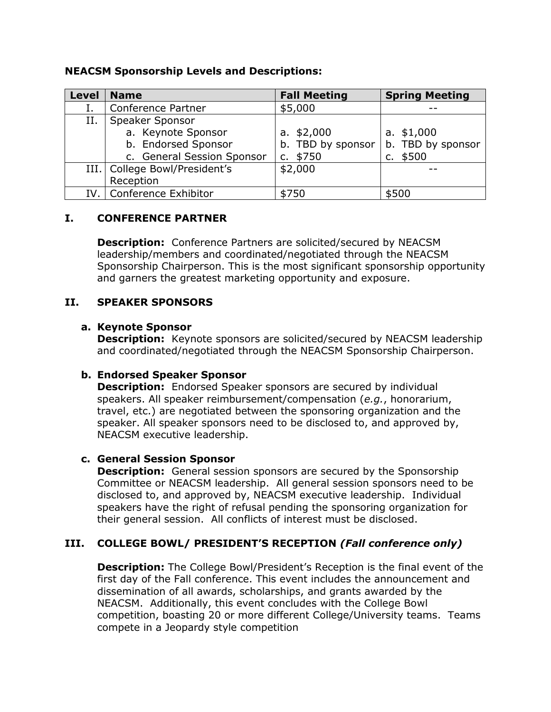### **NEACSM Sponsorship Levels and Descriptions:**

| <b>Level</b> | <b>Name</b>                     | <b>Fall Meeting</b> | <b>Spring Meeting</b> |
|--------------|---------------------------------|---------------------|-----------------------|
|              | Conference Partner              | \$5,000             |                       |
| Н.           | Speaker Sponsor                 |                     |                       |
|              | a. Keynote Sponsor              | a. $$2,000$         | a. $$1,000$           |
|              | b. Endorsed Sponsor             | b. TBD by sponsor   | b. TBD by sponsor     |
|              | c. General Session Sponsor      | c. $$750$           | c. $$500$             |
|              | III.   College Bowl/President's | \$2,000             |                       |
|              | Reception                       |                     |                       |
| IV.          | Conference Exhibitor            | \$750               | \$500                 |

# **I. CONFERENCE PARTNER**

**Description:** Conference Partners are solicited/secured by NEACSM leadership/members and coordinated/negotiated through the NEACSM Sponsorship Chairperson. This is the most significant sponsorship opportunity and garners the greatest marketing opportunity and exposure.

# **II. SPEAKER SPONSORS**

# **a. Keynote Sponsor**

**Description:** Keynote sponsors are solicited/secured by NEACSM leadership and coordinated/negotiated through the NEACSM Sponsorship Chairperson.

# **b. Endorsed Speaker Sponsor**

**Description:** Endorsed Speaker sponsors are secured by individual speakers. All speaker reimbursement/compensation (*e.g.*, honorarium, travel, etc.) are negotiated between the sponsoring organization and the speaker. All speaker sponsors need to be disclosed to, and approved by, NEACSM executive leadership.

# **c. General Session Sponsor**

**Description:** General session sponsors are secured by the Sponsorship Committee or NEACSM leadership. All general session sponsors need to be disclosed to, and approved by, NEACSM executive leadership. Individual speakers have the right of refusal pending the sponsoring organization for their general session. All conflicts of interest must be disclosed.

# **III. COLLEGE BOWL/ PRESIDENT'S RECEPTION** *(Fall conference only)*

**Description:** The College Bowl/President's Reception is the final event of the first day of the Fall conference. This event includes the announcement and dissemination of all awards, scholarships, and grants awarded by the NEACSM. Additionally, this event concludes with the College Bowl competition, boasting 20 or more different College/University teams. Teams compete in a Jeopardy style competition